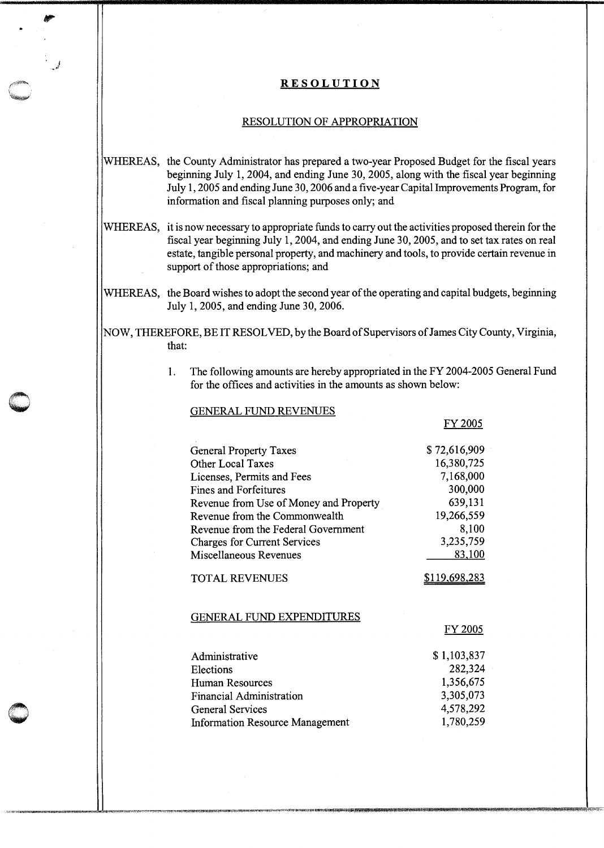### **RESOLUTION**

#### RESOLUTION OF APPROPRIATION

- WHEREAS, the County Administrator has prepared a two-year Proposed Budget for the fiscal years beginning July 1, 2004, and ending June 30, 2005, along with the fiscal year beginning July 1, 2005 and ending June 30, 2006 and a five-year Capital Improvements Program, for information and fiscal planning purposes only; and
- WHEREAS, it is now necessary to appropriate funds to carry out the activities proposed therein for the fiscal year beginning July 1, 2004, and ending June 30, 2005, and to set tax rates on real estate, tangible personal property, and machinery and tools, to provide certain revenue in support of those appropriations; and
- WHEREAS, the Board wishes to adopt the second year of the operating and capital budgets, beginning July 1, 2005, and ending June 30, 2006.
- NOW, THEREFORE, BE IT RESOLVED, by the Board of Supervisors of James City County, Virginia, that:

GENERAL FUND REVENUES

**c** .

**0** 

1. The following amounts are hereby appropriated in the FY 2004-2005 General Fund for the offices and activities in the amounts as shown below:

|                                        | FY 2005              |
|----------------------------------------|----------------------|
| <b>General Property Taxes</b>          | \$72,616,909         |
| Other Local Taxes                      | 16,380,725           |
| Licenses, Permits and Fees             | 7,168,000            |
| <b>Fines and Forfeitures</b>           | 300,000              |
| Revenue from Use of Money and Property | 639,131              |
| Revenue from the Commonwealth          | 19,266,559           |
| Revenue from the Federal Government    | 8,100                |
| <b>Charges for Current Services</b>    | 3,235,759            |
| Miscellaneous Revenues                 | 83,100               |
| <b>TOTAL REVENUES</b>                  | <u>\$119,698,283</u> |
| <b>GENERAL FUND EXPENDITURES</b>       |                      |
|                                        | <u>FY 2005</u>       |
| Administrative                         | \$1,103,837          |
| Elections                              | 282,324              |
| Human Resources                        | 1,356,675            |
| <b>Financial Administration</b>        | 3,305,073            |
| <b>General Services</b>                | 4,578,292            |
| <b>Information Resource Management</b> | 1,780,259            |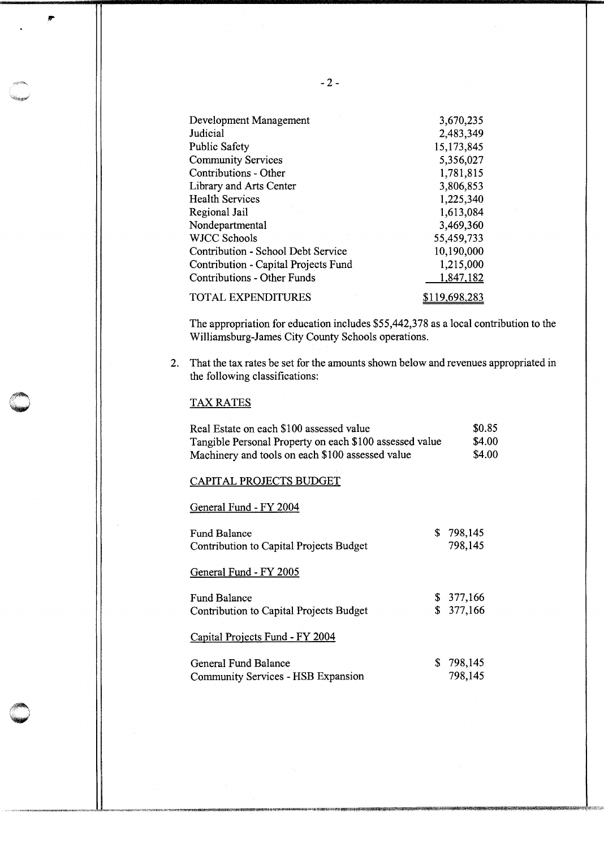| Development Management               | 3,670,235     |
|--------------------------------------|---------------|
| Judicial                             | 2,483,349     |
| <b>Public Safety</b>                 | 15,173,845    |
| <b>Community Services</b>            | 5,356,027     |
| Contributions - Other                | 1,781,815     |
| Library and Arts Center              | 3,806,853     |
| <b>Health Services</b>               | 1,225,340     |
| Regional Jail                        | 1,613,084     |
| Nondepartmental                      | 3,469,360     |
| <b>WJCC Schools</b>                  | 55,459,733    |
| Contribution - School Debt Service   | 10,190,000    |
| Contribution - Capital Projects Fund | 1,215,000     |
| <b>Contributions - Other Funds</b>   | 1,847,182     |
| <b>TOTAL EXPENDITURES</b>            | \$119,698,283 |

The appropriation for education includes \$55,442,378 as a local contribution to the Williamsburg-James City County Schools operations.

2. That the tax rates be set for the amounts shown below and revenues appropriated in the following classifications:

### TAX RATES

| Real Estate on each \$100 assessed value                | \$0.85 |
|---------------------------------------------------------|--------|
| Tangible Personal Property on each \$100 assessed value | \$4.00 |
| Machinery and tools on each \$100 assessed value        | \$4.00 |
| CAPITAL PROJECTS BUDGET                                 |        |

General Fund - FY 2004

| Fund Balance<br>Contribution to Capital Projects Budget                                    |    | \$798,145<br>798,145 |
|--------------------------------------------------------------------------------------------|----|----------------------|
| General Fund - FY 2005                                                                     |    |                      |
| Fund Balance<br>Contribution to Capital Projects Budget<br>Capital Projects Fund - FY 2004 | \$ | \$377,166<br>377,166 |
| General Fund Balance<br>Community Services - HSB Expansion                                 | S  | 798,145<br>798,145   |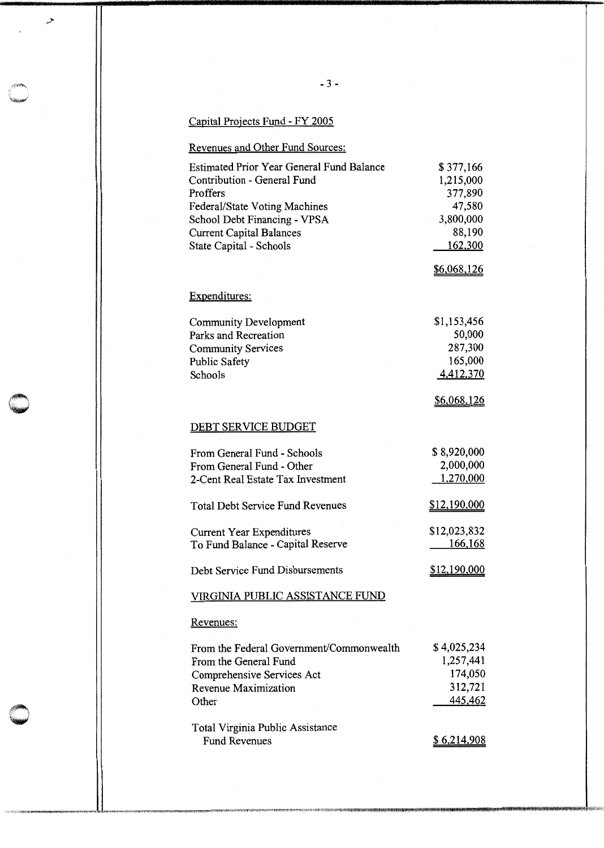# Capital Projects Fund - FY 2005

 $\overline{\mathcal{L}}$ 

# Revenues and Other Fund Sources:

| <b>Estimated Prior Year General Fund Balance</b> | \$377,166          |
|--------------------------------------------------|--------------------|
| Contribution - General Fund                      | 1,215,000          |
| Proffers                                         | 377,890            |
| Federal/State Voting Machines                    | 47,580             |
| School Debt Financing - VPSA                     | 3,800,000          |
| <b>Current Capital Balances</b>                  | 88,190             |
| State Capital - Schools                          | 162,300            |
|                                                  | \$6,068,126        |
| Expenditures:                                    |                    |
| Community Development                            | \$1,153,456        |
| Parks and Recreation                             | 50,000             |
| <b>Community Services</b>                        | 287,300            |
| <b>Public Safety</b>                             | 165,000            |
| Schools                                          | 4,412,370          |
|                                                  | \$6,068,126        |
| DEBT SERVICE BUDGET                              |                    |
| From General Fund - Schools                      | \$8,920,000        |
| From General Fund - Other                        | 2,000,000          |
| 2-Cent Real Estate Tax Investment                | 1,270,000          |
| <b>Total Debt Service Fund Revenues</b>          | \$12,190,000       |
| Current Year Expenditures                        | \$12,023,832       |
| To Fund Balance - Capital Reserve                | <u>166,168</u>     |
| Debt Service Fund Disbursements                  | \$12,190,000       |
| VIRGINIA PUBLIC ASSISTANCE FUND                  |                    |
| Revenues:                                        |                    |
| From the Federal Government/Commonwealth         | \$4,025,234        |
| From the General Fund                            | 1,257,441          |
| Comprehensive Services Act                       | 174,050            |
| Revenue Maximization                             | 312,721            |
| Other                                            | 445,462            |
| Total Virginia Public Assistance                 |                    |
| <b>Fund Revenues</b>                             | <u>\$6,214,908</u> |
|                                                  |                    |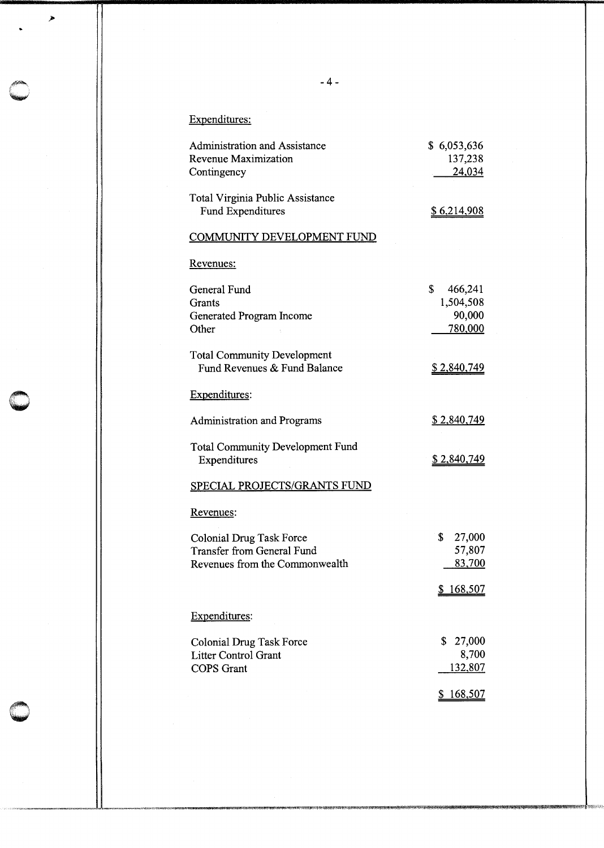# Expenditures:

*>* 

| <b>Administration and Assistance</b><br><b>Revenue Maximization</b><br>Contingency                     | \$6,053,636<br>137,238<br>24,034                     |
|--------------------------------------------------------------------------------------------------------|------------------------------------------------------|
| <b>Total Virginia Public Assistance</b><br><b>Fund Expenditures</b>                                    | <u>\$6,214,908</u>                                   |
| <b>COMMUNITY DEVELOPMENT FUND</b>                                                                      |                                                      |
| Revenues:                                                                                              |                                                      |
| General Fund<br>Grants<br>Generated Program Income<br>Other                                            | \$<br>466,241<br>1,504,508<br>90,000<br>780,000      |
| <b>Total Community Development</b><br>Fund Revenues & Fund Balance                                     | <u>\$2,840,749</u>                                   |
| Expenditures:                                                                                          |                                                      |
| <b>Administration and Programs</b>                                                                     | <u>\$2,840,749</u>                                   |
| <b>Total Community Development Fund</b><br>Expenditures                                                | <u>\$2,840,749</u>                                   |
| SPECIAL PROJECTS/GRANTS FUND                                                                           |                                                      |
| Revenues:                                                                                              |                                                      |
| <b>Colonial Drug Task Force</b><br><b>Transfer from General Fund</b><br>Revenues from the Commonwealth | \$<br>27,000<br>57,807<br>83,700<br><u>\$168,507</u> |
| Expenditures:                                                                                          |                                                      |
|                                                                                                        |                                                      |
| Colonial Drug Task Force<br><b>Litter Control Grant</b>                                                | \$<br>27,000<br>8,700                                |
| <b>COPS</b> Grant                                                                                      | 132,807                                              |
|                                                                                                        | <u>\$168,507</u>                                     |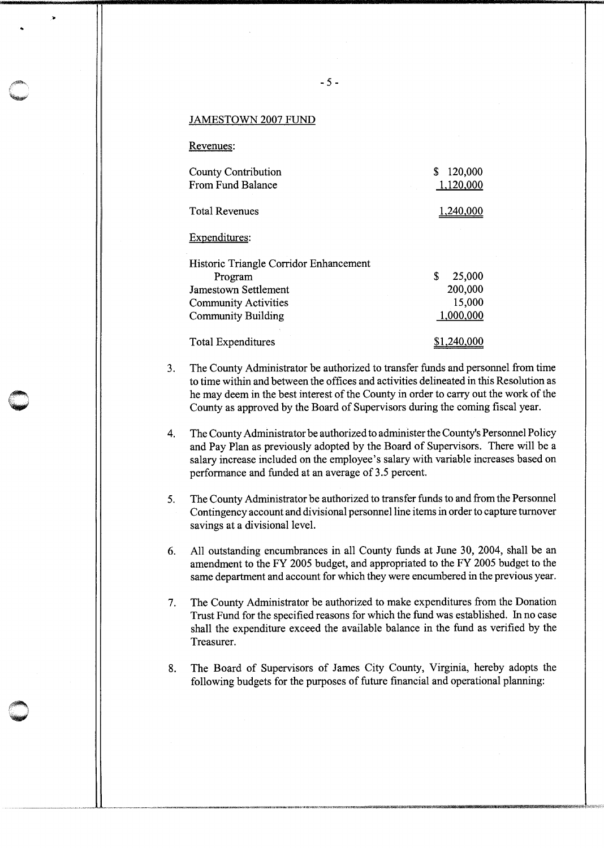#### JAMESTOWN 2007 FUND

Revenues:

..

 $\bigcirc$ 

| <b>County Contribution</b>             | 120,000     |
|----------------------------------------|-------------|
| From Fund Balance                      | 1,120,000   |
| <b>Total Revenues</b>                  | 1,240,000   |
| Expenditures:                          |             |
| Historic Triangle Corridor Enhancement |             |
| Program                                | S<br>25,000 |
| Jamestown Settlement                   | 200,000     |
| <b>Community Activities</b>            | 15,000      |
| <b>Community Building</b>              | 1,000,000   |
| Total Expenditures                     | 1,240.      |

- 3. The County Administrator be authorized to transfer funds and personnel from time to time within and between the offices and activities delineated in this Resolution as he may deem in the best interest of the County in order to carry out the work of the County as approved by the Board of Supervisors during the coming fiscal year.
- 4. The County Administrator be authorized to administer the County's Personnel Policy and Pay Plan as previously adopted by the Board of Supervisors. There will be a salary increase included on the employee's salary with variable increases based on performance and funded at an average of 3.5 percent.
- 5. The County Administrator be authorized to transfer funds to and from the Personnel Contingency account and divisional personnel line items in order to capture turnover savings at a divisional level.
- 6. All outstanding encumbrances in all County funds at June 30, 2004, shall be an amendment to the FY 2005 budget, and appropriated to the FY 2005 budget to the same department and account for which they were encumbered in the previous year.
- 7. The County Administrator be authorized to make expenditures from the Donation Trust Fund for the specified reasons for which the fund was established. In no case shall the expenditure exceed the available balance in the fund as verified by the Treasurer.
- 8. The Board of Supervisors of James City County, Virginia, hereby adopts the following budgets for the purposes of future financial and operational planning: